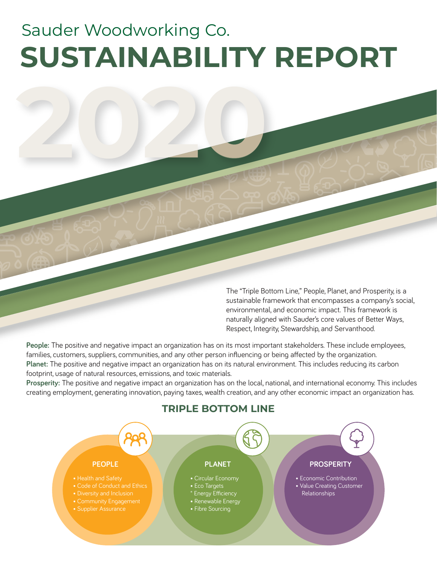# **SUSTAINABILITY REPORT** Sauder Woodworking Co.

**2020**

The "Triple Bottom Line," People, Planet, and Prosperity, is a sustainable framework that encompasses a company's social, environmental, and economic impact. This framework is naturally aligned with Sauder's core values of Better Ways, Respect, Integrity, Stewardship, and Servanthood.

**People:** The positive and negative impact an organization has on its most important stakeholders. These include employees, families, customers, suppliers, communities, and any other person influencing or being affected by the organization. **Planet:** The positive and negative impact an organization has on its natural environment. This includes reducing its carbon footprint, usage of natural resources, emissions, and toxic materials.

**Prosperity:** The positive and negative impact an organization has on the local, national, and international economy. This includes creating employment, generating innovation, paying taxes, wealth creation, and any other economic impact an organization has.



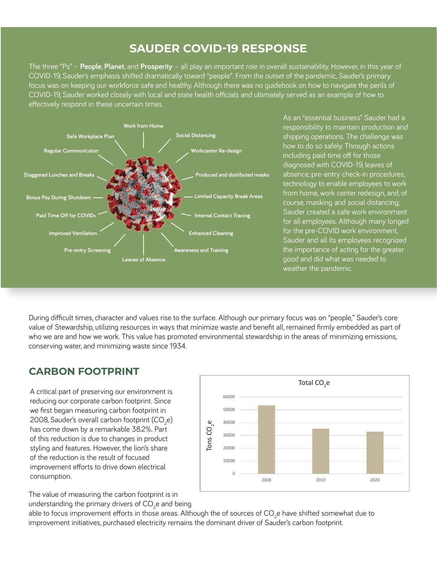# **SAUDER COVID-19 RESPONSE**

The three "Ps" – **People**, **Planet**, and **Prosperity** – all play an important role in overall sustainability. However, in this year of COVID-19, Sauder's emphasis shifted dramatically toward "people". From the outset of the pandemic, Sauder's primary focus was on keeping our workforce safe and healthy. Although there was no guidebook on how to navigate the perils of COVID-19, Sauder worked closely with local and state health officials and ultimately served as an example of how to effectively respond in these uncertain times.



As an "essential business" Sauder had a responsibility to maintain production and shipping operations. The challenge was how to do so safely. Through actions including paid time off for those diagnosed with COVID-19, leaves of absence, pre-entry check-in procedures, technology to enable employees to work from home, work center redesign, and, of course, masking and social distancing; Sauder created a safe work environment for all employees. Although many longed for the pre-COVID work environment, Sauder and all its employees recognized the importance of acting for the greater good and did what was needed to weather the pandemic.

During difficult times, character and values rise to the surface. Although our primary focus was on "people," Sauder's core value of Stewardship, utilizing resources in ways that minimize waste and benefit all, remained firmly embedded as part of who we are and how we work. This value has promoted environmental stewardship in the areas of minimizing emissions, conserving water, and minimizing waste since 1934.

### **CARBON FOOTPRINT**

A critical part of preserving our environment is reducing our corporate carbon footprint. Since we first began measuring carbon footprint in 2008, Sauder's overall carbon footprint (CO<sub>2</sub>e) has come down by a remarkable 38.2%. Part of this reduction is due to changes in product styling and features. However, the lion's share of the reduction is the result of focused improvement efforts to drive down electrical consumption.



The value of measuring the carbon footprint is in understanding the primary drivers of CO $_2$ e and being

able to focus improvement efforts in those areas. Although the of sources of CO<sub>2</sub>e have shifted somewhat due to improvement initiatives, purchased electricity remains the dominant driver of Sauder's carbon footprint.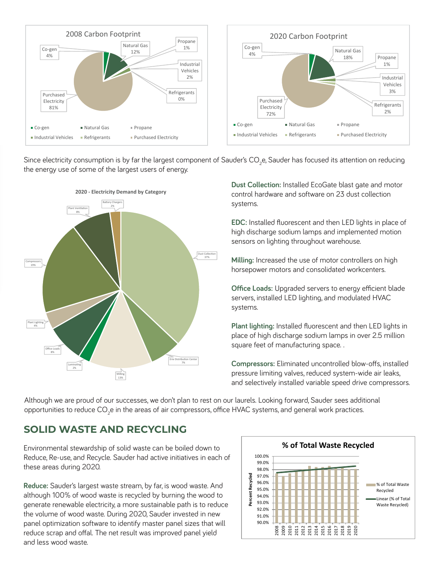

Since electricity consumption is by far the largest component of Sauder's CO<sub>2</sub>e, Sauder has focused its attention on reducing the energy use of some of the largest users of energy.



**Dust Collection:** Installed EcoGate blast gate and motor control hardware and software on 23 dust collection systems.

**EDC:** Installed fluorescent and then LED lights in place of high discharge sodium lamps and implemented motion sensors on lighting throughout warehouse.

**Milling:** Increased the use of motor controllers on high horsepower motors and consolidated workcenters.

**Office Loads:** Upgraded servers to energy efficient blade servers, installed LED lighting, and modulated HVAC systems.

**Plant lighting:** Installed fluorescent and then LED lights in place of high discharge sodium lamps in over 2.5 million square feet of manufacturing space. .

**Compressors:** Eliminated uncontrolled blow-offs, installed pressure limiting valves, reduced system-wide air leaks, and selectively installed variable speed drive compressors.

Although we are proud of our successes, we don't plan to rest on our laurels. Looking forward, Sauder sees additional opportunities to reduce CO<sub>2</sub>e in the areas of air compressors, office HVAC systems, and general work practices.

#### **SOLID WASTE AND RECYCLING**

Environmental stewardship of solid waste can be boiled down to Reduce, Re-use, and Recycle. Sauder had active initiatives in each of these areas during 2020.

**Reduce:** Sauder's largest waste stream, by far, is wood waste. And although 100% of wood waste is recycled by burning the wood to generate renewable electricity, a more sustainable path is to reduce the volume of wood waste. During 2020, Sauder invested in new panel optimization software to identify master panel sizes that will reduce scrap and offal. The net result was improved panel yield and less wood waste.